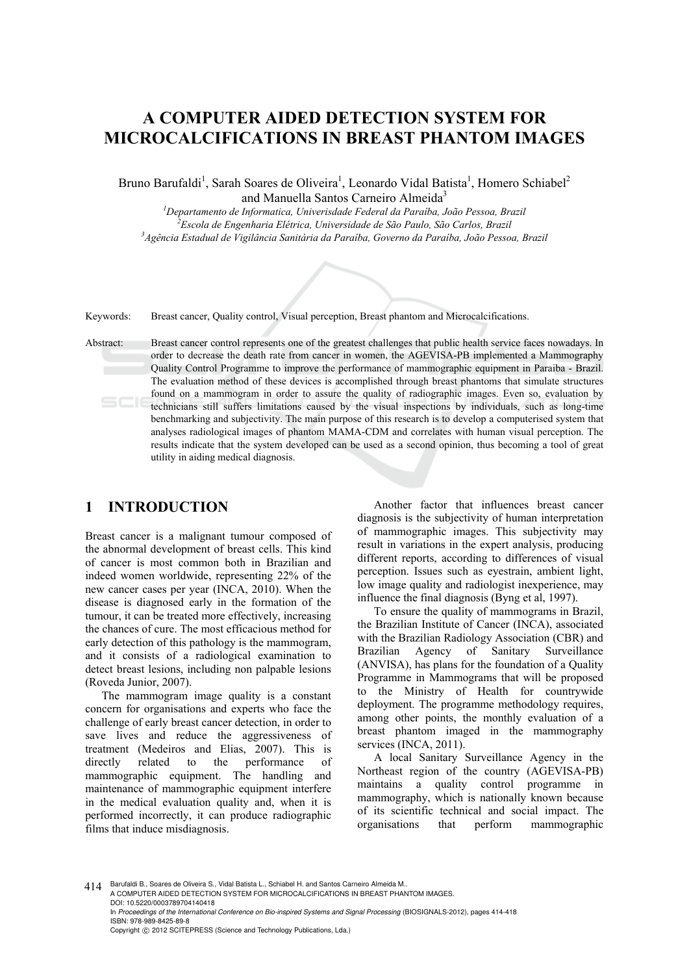# **A COMPUTER AIDED DETECTION SYSTEM FOR MICROCALCIFICATIONS IN BREAST PHANTOM IMAGES**

Bruno Barufaldi<sup>1</sup>, Sarah Soares de Oliveira<sup>1</sup>, Leonardo Vidal Batista<sup>1</sup>, Homero Schiabel<sup>2</sup> and Manuella Santos Carneiro Almeida<sup>3</sup>

<sup>1</sup><br>
<sup>1</sup>Departamento de Informatica, Univerisdade Federal da Paraíba, João Pessoa, Brazil<br>
<sup>2</sup>Essola de Encanhavia Elétrica, Universidade de São Baule, São Caules, Brazil *Escola de Engenharia Elétrica, Universidade de São Paulo, São Carlos, Brazil 3 Agência Estadual de Vigilância Sanitária da Paraíba, Governo da Paraíba, João Pessoa, Brazil* 

Keywords: Breast cancer, Quality control, Visual perception, Breast phantom and Microcalcifications.

Abstract: Breast cancer control represents one of the greatest challenges that public health service faces nowadays. In order to decrease the death rate from cancer in women, the AGEVISA-PB implemented a Mammography Quality Control Programme to improve the performance of mammographic equipment in Paraiba - Brazil. The evaluation method of these devices is accomplished through breast phantoms that simulate structures found on a mammogram in order to assure the quality of radiographic images. Even so, evaluation by technicians still suffers limitations caused by the visual inspections by individuals, such as long-time benchmarking and subjectivity. The main purpose of this research is to develop a computerised system that analyses radiological images of phantom MAMA-CDM and correlates with human visual perception. The results indicate that the system developed can be used as a second opinion, thus becoming a tool of great utility in aiding medical diagnosis.

### **1 INTRODUCTION**

Breast cancer is a malignant tumour composed of the abnormal development of breast cells. This kind of cancer is most common both in Brazilian and indeed women worldwide, representing 22% of the new cancer cases per year (INCA, 2010). When the disease is diagnosed early in the formation of the tumour, it can be treated more effectively, increasing the chances of cure. The most efficacious method for early detection of this pathology is the mammogram, and it consists of a radiological examination to detect breast lesions, including non palpable lesions (Roveda Junior, 2007).

The mammogram image quality is a constant concern for organisations and experts who face the challenge of early breast cancer detection, in order to save lives and reduce the aggressiveness of treatment (Medeiros and Elias, 2007). This is directly related to the performance of mammographic equipment. The handling and maintenance of mammographic equipment interfere in the medical evaluation quality and, when it is performed incorrectly, it can produce radiographic films that induce misdiagnosis.

Another factor that influences breast cancer diagnosis is the subjectivity of human interpretation of mammographic images. This subjectivity may result in variations in the expert analysis, producing different reports, according to differences of visual perception. Issues such as eyestrain, ambient light, low image quality and radiologist inexperience, may influence the final diagnosis (Byng et al, 1997).

To ensure the quality of mammograms in Brazil, the Brazilian Institute of Cancer (INCA), associated with the Brazilian Radiology Association (CBR) and Brazilian Agency of Sanitary Surveillance (ANVISA), has plans for the foundation of a Quality Programme in Mammograms that will be proposed to the Ministry of Health for countrywide deployment. The programme methodology requires, among other points, the monthly evaluation of a breast phantom imaged in the mammography services (INCA, 2011).

A local Sanitary Surveillance Agency in the Northeast region of the country (AGEVISA-PB) maintains a quality control programme in mammography, which is nationally known because of its scientific technical and social impact. The organisations that perform mammographic

414 Barufaldi B., Soares de Oliveira S., Vidal Batista L., Schiabel H. and Santos Carneiro Almeida M. A COMPUTER AIDED DETECTION SYSTEM FOR MICROCALCIFICATIONS IN BREAST PHANTOM IMAGES. DOI: 10.5220/0003789704140418 In *Proceedings of the International Conference on Bio-inspired Systems and Signal Processing* (BIOSIGNALS-2012), pages 414-418 ISBN: 978-989-8425-89-8 Copyright © 2012 SCITEPRESS (Science and Technology Publications, Lda.)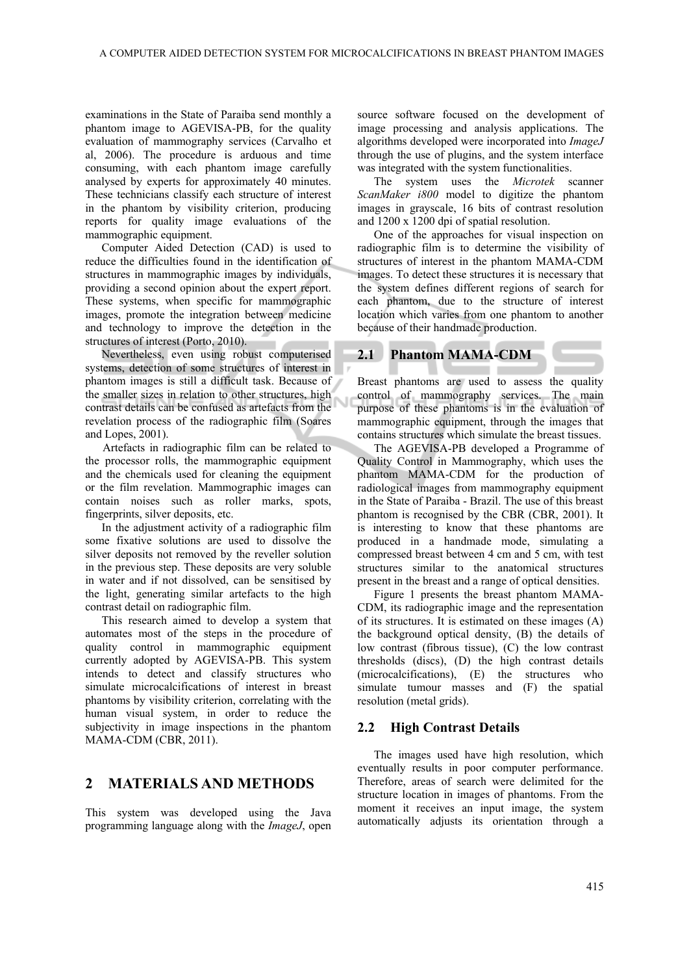examinations in the State of Paraiba send monthly a phantom image to AGEVISA-PB, for the quality evaluation of mammography services (Carvalho et al, 2006). The procedure is arduous and time consuming, with each phantom image carefully analysed by experts for approximately 40 minutes. These technicians classify each structure of interest in the phantom by visibility criterion, producing reports for quality image evaluations of the mammographic equipment.

Computer Aided Detection (CAD) is used to reduce the difficulties found in the identification of structures in mammographic images by individuals, providing a second opinion about the expert report. These systems, when specific for mammographic images, promote the integration between medicine and technology to improve the detection in the structures of interest (Porto, 2010).

Nevertheless, even using robust computerised systems, detection of some structures of interest in phantom images is still a difficult task. Because of the smaller sizes in relation to other structures, high contrast details can be confused as artefacts from the revelation process of the radiographic film (Soares and Lopes, 2001).

Artefacts in radiographic film can be related to the processor rolls, the mammographic equipment and the chemicals used for cleaning the equipment or the film revelation. Mammographic images can contain noises such as roller marks, spots, fingerprints, silver deposits, etc.

In the adjustment activity of a radiographic film some fixative solutions are used to dissolve the silver deposits not removed by the reveller solution in the previous step. These deposits are very soluble in water and if not dissolved, can be sensitised by the light, generating similar artefacts to the high contrast detail on radiographic film.

This research aimed to develop a system that automates most of the steps in the procedure of quality control in mammographic equipment currently adopted by AGEVISA-PB. This system intends to detect and classify structures who simulate microcalcifications of interest in breast phantoms by visibility criterion, correlating with the human visual system, in order to reduce the subjectivity in image inspections in the phantom MAMA-CDM (CBR, 2011).

# **2 MATERIALS AND METHODS**

This system was developed using the Java programming language along with the *ImageJ*, open source software focused on the development of image processing and analysis applications. The algorithms developed were incorporated into *ImageJ* through the use of plugins, and the system interface was integrated with the system functionalities.

The system uses the *Microtek* scanner *ScanMaker i800* model to digitize the phantom images in grayscale, 16 bits of contrast resolution and 1200 x 1200 dpi of spatial resolution.

One of the approaches for visual inspection on radiographic film is to determine the visibility of structures of interest in the phantom MAMA-CDM images. To detect these structures it is necessary that the system defines different regions of search for each phantom, due to the structure of interest location which varies from one phantom to another because of their handmade production.

### **2.1 Phantom MAMA-CDM**

Breast phantoms are used to assess the quality control of mammography services. The main purpose of these phantoms is in the evaluation of mammographic equipment, through the images that contains structures which simulate the breast tissues.

The AGEVISA-PB developed a Programme of Quality Control in Mammography, which uses the phantom MAMA-CDM for the production of radiological images from mammography equipment in the State of Paraiba - Brazil. The use of this breast phantom is recognised by the CBR (CBR, 2001). It is interesting to know that these phantoms are produced in a handmade mode, simulating a compressed breast between 4 cm and 5 cm, with test structures similar to the anatomical structures present in the breast and a range of optical densities.

Figure 1 presents the breast phantom MAMA-CDM, its radiographic image and the representation of its structures. It is estimated on these images (A) the background optical density, (B) the details of low contrast (fibrous tissue), (C) the low contrast thresholds (discs), (D) the high contrast details (microcalcifications), (E) the structures who simulate tumour masses and (F) the spatial resolution (metal grids).

#### **2.2 High Contrast Details**

The images used have high resolution, which eventually results in poor computer performance. Therefore, areas of search were delimited for the structure location in images of phantoms. From the moment it receives an input image, the system automatically adjusts its orientation through a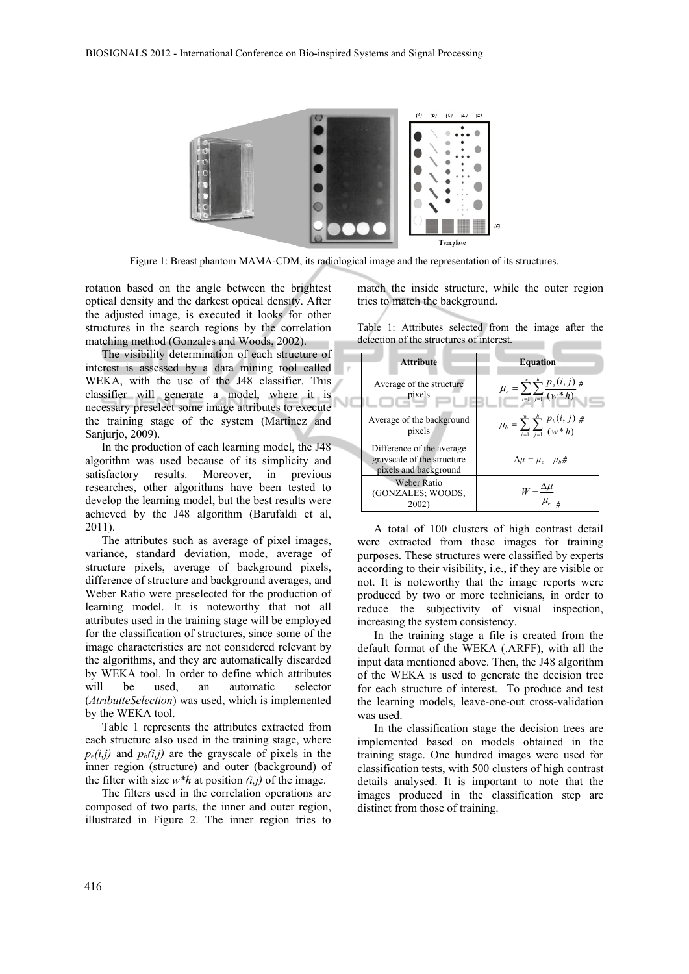

Figure 1: Breast phantom MAMA-CDM, its radiological image and the representation of its structures.

rotation based on the angle between the brightest optical density and the darkest optical density. After the adjusted image, is executed it looks for other structures in the search regions by the correlation matching method (Gonzales and Woods, 2002).

The visibility determination of each structure of interest is assessed by a data mining tool called WEKA, with the use of the J48 classifier. This classifier will generate a model, where it is necessary preselect some image attributes to execute the training stage of the system (Martinez and Sanjurio, 2009).

In the production of each learning model, the J48 algorithm was used because of its simplicity and satisfactory results. Moreover, in previous researches, other algorithms have been tested to develop the learning model, but the best results were achieved by the J48 algorithm (Barufaldi et al, 2011).

The attributes such as average of pixel images, variance, standard deviation, mode, average of structure pixels, average of background pixels, difference of structure and background averages, and Weber Ratio were preselected for the production of learning model. It is noteworthy that not all attributes used in the training stage will be employed for the classification of structures, since some of the image characteristics are not considered relevant by the algorithms, and they are automatically discarded by WEKA tool. In order to define which attributes will be used, an automatic selector (*AtributteSelection*) was used, which is implemented by the WEKA tool.

Table 1 represents the attributes extracted from each structure also used in the training stage, where  $p_e(i,j)$  and  $p_b(i,j)$  are the grayscale of pixels in the inner region (structure) and outer (background) of the filter with size  $w^*h$  at position  $(i,j)$  of the image.

The filters used in the correlation operations are composed of two parts, the inner and outer region, illustrated in Figure 2. The inner region tries to

match the inside structure, while the outer region tries to match the background.

Table 1: Attributes selected from the image after the detection of the structures of interest.

| <b>Attribute</b>                                                                 | <b>Equation</b>                                                 |
|----------------------------------------------------------------------------------|-----------------------------------------------------------------|
| Average of the structure<br>pixels                                               | $\mu_e = \sum_{i=1}^{w} \sum_{j=1}^{h} \frac{p_e(i,j)}{(w^*h)}$ |
| Average of the background<br>pixels                                              | $\mu_b = \sum_{i=1}^{w} \sum_{j=1}^{n} \frac{p_b(i,j)}{(w*h)}$  |
| Difference of the average<br>grayscale of the structure<br>pixels and background | $\Delta \mu = \mu_e - \mu_b \dot{\pi}$                          |
| Weber Ratio<br>(GONZALES; WOODS,<br>2002)                                        | $W = \frac{\Delta \mu}{\mu_e}$                                  |

A total of 100 clusters of high contrast detail were extracted from these images for training purposes. These structures were classified by experts according to their visibility, i.e., if they are visible or not. It is noteworthy that the image reports were produced by two or more technicians, in order to reduce the subjectivity of visual inspection, increasing the system consistency.

In the training stage a file is created from the default format of the WEKA (.ARFF), with all the input data mentioned above. Then, the J48 algorithm of the WEKA is used to generate the decision tree for each structure of interest. To produce and test the learning models, leave-one-out cross-validation was used.

In the classification stage the decision trees are implemented based on models obtained in the training stage. One hundred images were used for classification tests, with 500 clusters of high contrast details analysed. It is important to note that the images produced in the classification step are distinct from those of training.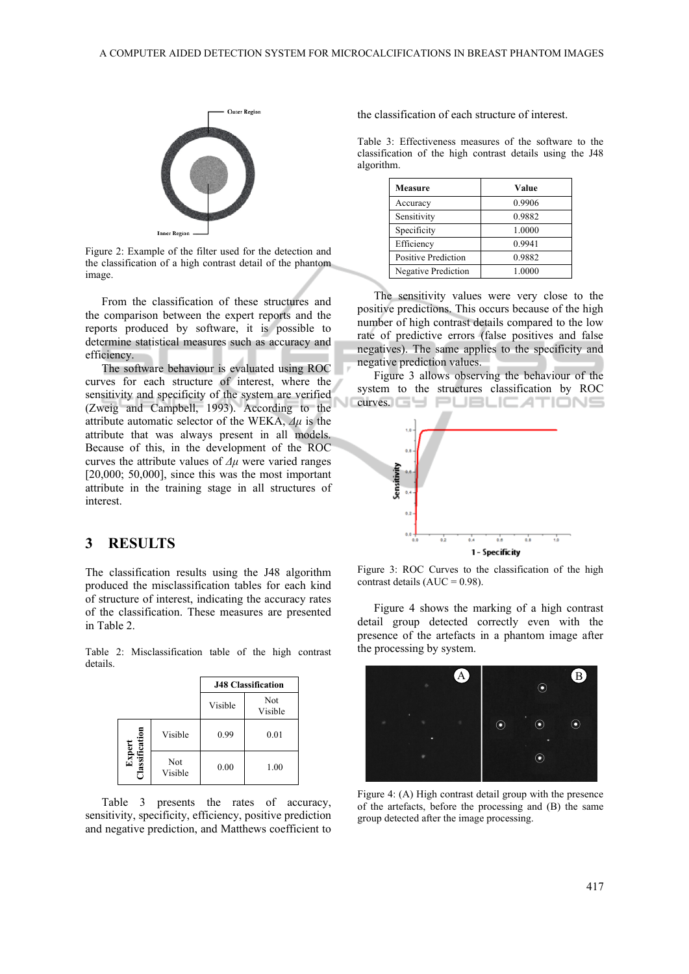

Figure 2: Example of the filter used for the detection and the classification of a high contrast detail of the phantom image.

From the classification of these structures and the comparison between the expert reports and the reports produced by software, it is possible to determine statistical measures such as accuracy and efficiency.

The software behaviour is evaluated using ROC curves for each structure of interest, where the sensitivity and specificity of the system are verified (Zweig and Campbell, 1993). According to the attribute automatic selector of the WEKA, *Δμ* is the attribute that was always present in all models. Because of this, in the development of the ROC curves the attribute values of *Δμ* were varied ranges [20,000; 50,000], since this was the most important attribute in the training stage in all structures of interest.

### **3 RESULTS**

The classification results using the J48 algorithm produced the misclassification tables for each kind of structure of interest, indicating the accuracy rates of the classification. These measures are presented in Table 2.

Table 2: Misclassification table of the high contrast details.

|                                 |                | <b>J48 Classification</b> |                |
|---------------------------------|----------------|---------------------------|----------------|
|                                 |                | Visible                   | Not<br>Visible |
|                                 | Visible        | 0.99                      | 0.01           |
| <b>Expert</b><br>Classification | Not<br>Visible | 0.00                      | 1.00           |

Table 3 presents the rates of accuracy, sensitivity, specificity, efficiency, positive prediction and negative prediction, and Matthews coefficient to

the classification of each structure of interest.

Table 3: Effectiveness measures of the software to the classification of the high contrast details using the J48 algorithm.

| <b>Measure</b>      | Value  |  |
|---------------------|--------|--|
| Accuracy            | 0.9906 |  |
| Sensitivity         | 0.9882 |  |
| Specificity         | 1.0000 |  |
| Efficiency          | 0.9941 |  |
| Positive Prediction | 0.9882 |  |
| Negative Prediction | 1.0000 |  |

The sensitivity values were very close to the positive predictions. This occurs because of the high number of high contrast details compared to the low rate of predictive errors (false positives and false negatives). The same applies to the specificity and negative prediction values.

Figure 3 allows observing the behaviour of the system to the structures classification by ROC **curves.GY PUBLIC ATIONS** 



Figure 3: ROC Curves to the classification of the high contrast details  $(AUC = 0.98)$ .

Figure 4 shows the marking of a high contrast detail group detected correctly even with the presence of the artefacts in a phantom image after the processing by system.



Figure 4: (A) High contrast detail group with the presence of the artefacts, before the processing and (B) the same group detected after the image processing.